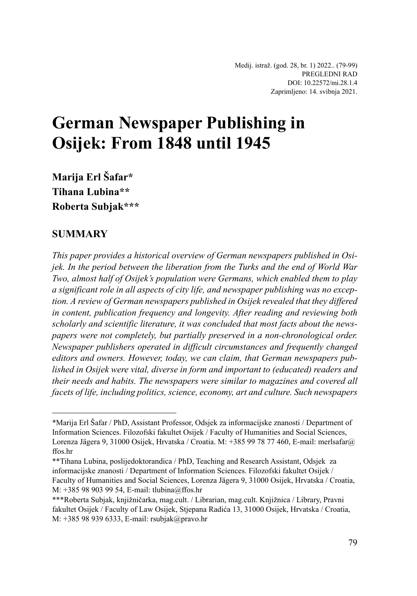Medij. istraž. (god. 28, br. 1) 2022.. (79-99) PREGLEDNI RAD DOI: 10.22572/mi.28.1.4 Zaprimljeno: 14. svibnja 2021.

# **German Newspaper Publishing in Osijek: From 1848 until 1945**

**Marija Erl Šafar\* Tihana Lubina\*\* Roberta Subjak\*\*\***

#### **SUMMARY**

*This paper provides a historical overview of German newspapers published in Osijek. In the period between the liberation from the Turks and the end of World War Two, almost half of Osijek's population were Germans, which enabled them to play a significant role in all aspects of city life, and newspaper publishing was no exception. A review of German newspapers published in Osijek revealed that they differed in content, publication frequency and longevity. After reading and reviewing both scholarly and scientific literature, it was concluded that most facts about the newspapers were not completely, but partially preserved in a non-chronological order. Newspaper publishers operated in difficult circumstances and frequently changed editors and owners. However, today, we can claim, that German newspapers published in Osijek were vital, diverse in form and important to (educated) readers and their needs and habits. The newspapers were similar to magazines and covered all facets of life, including politics, science, economy, art and culture. Such newspapers* 

<sup>\*</sup>Marija Erl Šafar / PhD, Assistant Professor, Odsjek za informacijske znanosti / Department of Information Sciences. Filozofski fakultet Osijek / Faculty of Humanities and Social Sciences, Lorenza Jägera 9, 31000 Osijek, Hrvatska / Croatia. M: +385 99 78 77 460, E-mail: merlsafar@ ffos.hr

<sup>\*\*</sup>Tihana Lubina, poslijedoktorandica / PhD, Teaching and Research Assistant, Odsjek za informacijske znanosti / Department of Information Sciences. Filozofski fakultet Osijek / Faculty of Humanities and Social Sciences, Lorenza Jägera 9, 31000 Osijek, Hrvatska / Croatia, M: +385 98 903 99 54, E-mail: tlubina@ffos.hr

<sup>\*\*\*</sup>Roberta Subjak, knjižničarka, mag.cult. / Librarian, mag.cult. Knjižnica / Library, Pravni fakultet Osijek / Faculty of Law Osijek, Stjepana Radića 13, 31000 Osijek, Hrvatska / Croatia, M: +385 98 939 6333, E-mail: rsubjak@pravo.hr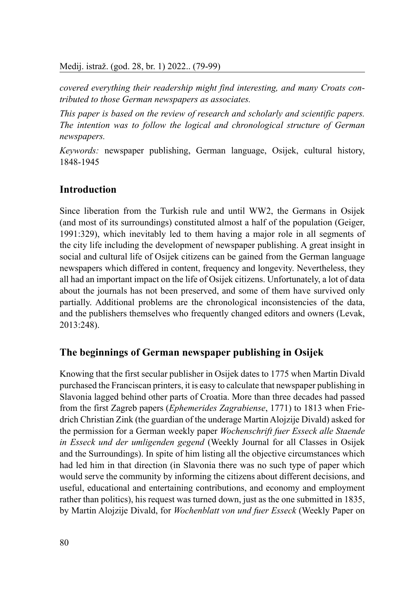*covered everything their readership might find interesting, and many Croats contributed to those German newspapers as associates.* 

*This paper is based on the review of research and scholarly and scientific papers. The intention was to follow the logical and chronological structure of German newspapers.*

*Keywords:* newspaper publishing, German language, Osijek, cultural history, 1848-1945

# **Introduction**

Since liberation from the Turkish rule and until WW2, the Germans in Osijek (and most of its surroundings) constituted almost a half of the population (Geiger, 1991:329), which inevitably led to them having a major role in all segments of the city life including the development of newspaper publishing. A great insight in social and cultural life of Osijek citizens can be gained from the German language newspapers which differed in content, frequency and longevity. Nevertheless, they all had an important impact on the life of Osijek citizens. Unfortunately, a lot of data about the journals has not been preserved, and some of them have survived only partially. Additional problems are the chronological inconsistencies of the data, and the publishers themselves who frequently changed editors and owners (Levak, 2013:248).

### **The beginnings of German newspaper publishing in Osijek**

Knowing that the first secular publisher in Osijek dates to 1775 when Martin Divald purchased the Franciscan printers, it is easy to calculate that newspaper publishing in Slavonia lagged behind other parts of Croatia. More than three decades had passed from the first Zagreb papers (*Ephemerides Zagrabiense*, 1771) to 1813 when Friedrich Christian Zink (the guardian of the underage Martin Alojzije Divald) asked for the permission for a German weekly paper *Wochenschrift fuer Esseck alle Staende in Esseck und der umligenden gegend* (Weekly Journal for all Classes in Osijek and the Surroundings). In spite of him listing all the objective circumstances which had led him in that direction (in Slavonia there was no such type of paper which would serve the community by informing the citizens about different decisions, and useful, educational and entertaining contributions, and economy and employment rather than politics), his request was turned down, just as the one submitted in 1835, by Martin Alojzije Divald, for *Wochenblatt von und fuer Esseck* (Weekly Paper on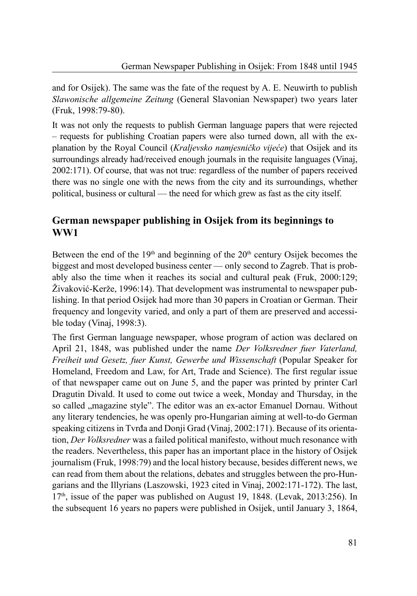and for Osijek). The same was the fate of the request by A. E. Neuwirth to publish *Slawonische allgemeine Zeitung* (General Slavonian Newspaper) two years later (Fruk, 1998:79-80).

It was not only the requests to publish German language papers that were rejected – requests for publishing Croatian papers were also turned down, all with the explanation by the Royal Council (*Kraljevsko namjesničko vijeće*) that Osijek and its surroundings already had/received enough journals in the requisite languages (Vinaj, 2002:171). Of course, that was not true: regardless of the number of papers received there was no single one with the news from the city and its surroundings, whether political, business or cultural — the need for which grew as fast as the city itself.

# **German newspaper publishing in Osijek from its beginnings to WW1**

Between the end of the  $19<sup>th</sup>$  and beginning of the  $20<sup>th</sup>$  century Osijek becomes the biggest and most developed business center — only second to Zagreb. That is probably also the time when it reaches its social and cultural peak (Fruk, 2000:129; Živaković-Kerže, 1996:14). That development was instrumental to newspaper publishing. In that period Osijek had more than 30 papers in Croatian or German. Their frequency and longevity varied, and only a part of them are preserved and accessible today (Vinaj, 1998:3).

The first German language newspaper, whose program of action was declared on April 21, 1848, was published under the name *Der Volksredner fuer Vaterland, Freiheit und Gesetz, fuer Kunst, Gewerbe und Wissenschaft* (Popular Speaker for Homeland, Freedom and Law, for Art, Trade and Science). The first regular issue of that newspaper came out on June 5, and the paper was printed by printer Carl Dragutin Divald. It used to come out twice a week, Monday and Thursday, in the so called "magazine style". The editor was an ex-actor Emanuel Dornau. Without any literary tendencies, he was openly pro-Hungarian aiming at well-to-do German speaking citizens in Tvrđa and Donji Grad (Vinaj, 2002:171). Because of its orientation, *Der Volksredner* was a failed political manifesto, without much resonance with the readers. Nevertheless, this paper has an important place in the history of Osijek journalism (Fruk, 1998:79) and the local history because, besides different news, we can read from them about the relations, debates and struggles between the pro-Hungarians and the Illyrians (Laszowski, 1923 cited in Vinaj, 2002:171-172). The last,  $17<sup>th</sup>$ , issue of the paper was published on August 19, 1848. (Levak, 2013:256). In the subsequent 16 years no papers were published in Osijek, until January 3, 1864,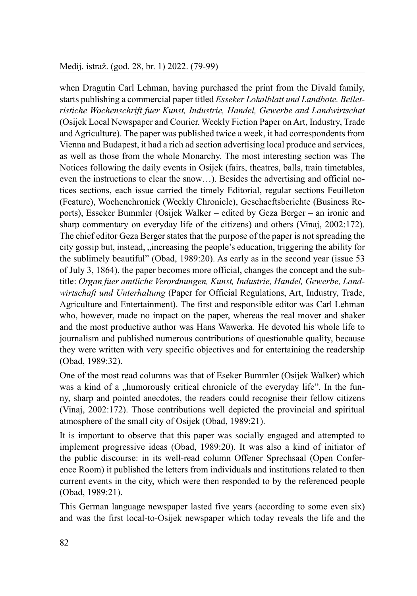when Dragutin Carl Lehman, having purchased the print from the Divald family, starts publishing a commercial paper titled *Esseker Lokalblatt und Landbote. Belletristiche Wochenschrift fuer Kunst, Industrie, Handel, Gewerbe and Landwirtschat*  (Osijek Local Newspaper and Courier. Weekly Fiction Paper on Art, Industry, Trade and Agriculture). The paper was published twice a week, it had correspondents from Vienna and Budapest, it had a rich ad section advertising local produce and services, as well as those from the whole Monarchy. The most interesting section was The Notices following the daily events in Osijek (fairs, theatres, balls, train timetables, even the instructions to clear the snow…). Besides the advertising and official notices sections, each issue carried the timely Editorial, regular sections Feuilleton (Feature), Wochenchronick (Weekly Chronicle), Geschaeftsberichte (Business Reports), Esseker Bummler (Osijek Walker – edited by Geza Berger – an ironic and sharp commentary on everyday life of the citizens) and others (Vinaj, 2002:172). The chief editor Geza Berger states that the purpose of the paper is not spreading the city gossip but, instead, "increasing the people's education, triggering the ability for the sublimely beautiful" (Obad, 1989:20). As early as in the second year (issue 53 of July 3, 1864), the paper becomes more official, changes the concept and the subtitle: *Organ fuer amtliche Verordnungen, Kunst, Industrie, Handel, Gewerbe, Landwirtschaft und Unterhaltung* (Paper for Official Regulations, Art, Industry, Trade, Agriculture and Entertainment). The first and responsible editor was Carl Lehman who, however, made no impact on the paper, whereas the real mover and shaker and the most productive author was Hans Wawerka. He devoted his whole life to journalism and published numerous contributions of questionable quality, because they were written with very specific objectives and for entertaining the readership (Obad, 1989:32).

One of the most read columns was that of Eseker Bummler (Osijek Walker) which was a kind of a "humorously critical chronicle of the everyday life". In the funny, sharp and pointed anecdotes, the readers could recognise their fellow citizens (Vinaj, 2002:172). Those contributions well depicted the provincial and spiritual atmosphere of the small city of Osijek (Obad, 1989:21).

It is important to observe that this paper was socially engaged and attempted to implement progressive ideas (Obad, 1989:20). It was also a kind of initiator of the public discourse: in its well-read column Offener Sprechsaal (Open Conference Room) it published the letters from individuals and institutions related to then current events in the city, which were then responded to by the referenced people (Obad, 1989:21).

This German language newspaper lasted five years (according to some even six) and was the first local-to-Osijek newspaper which today reveals the life and the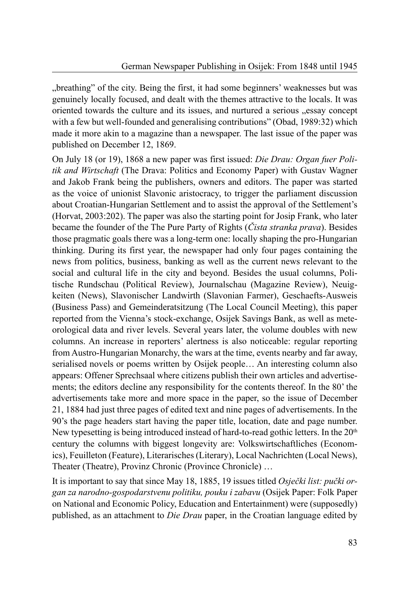"breathing" of the city. Being the first, it had some beginners' weaknesses but was genuinely locally focused, and dealt with the themes attractive to the locals. It was oriented towards the culture and its issues, and nurtured a serious "essay concept with a few but well-founded and generalising contributions" (Obad, 1989:32) which made it more akin to a magazine than a newspaper. The last issue of the paper was published on December 12, 1869.

On July 18 (or 19), 1868 a new paper was first issued: *Die Drau: Organ fuer Politik and Wirtschaft* (The Drava: Politics and Economy Paper) with Gustav Wagner and Jakob Frank being the publishers, owners and editors. The paper was started as the voice of unionist Slavonic aristocracy, to trigger the parliament discussion about Croatian-Hungarian Settlement and to assist the approval of the Settlement's (Horvat, 2003:202). The paper was also the starting point for Josip Frank, who later became the founder of the The Pure Party of Rights (*Čista stranka prava*). Besides those pragmatic goals there was a long-term one: locally shaping the pro-Hungarian thinking. During its first year, the newspaper had only four pages containing the news from politics, business, banking as well as the current news relevant to the social and cultural life in the city and beyond. Besides the usual columns, Politische Rundschau (Political Review), Journalschau (Magazine Review), Neuigkeiten (News), Slavonischer Landwirth (Slavonian Farmer), Geschaefts-Ausweis (Business Pass) and Gemeinderatsitzung (The Local Council Meeting), this paper reported from the Vienna's stock-exchange, Osijek Savings Bank, as well as meteorological data and river levels. Several years later, the volume doubles with new columns. An increase in reporters' alertness is also noticeable: regular reporting from Austro-Hungarian Monarchy, the wars at the time, events nearby and far away, serialised novels or poems written by Osijek people… An interesting column also appears: Offener Sprechsaal where citizens publish their own articles and advertisements; the editors decline any responsibility for the contents thereof. In the 80' the advertisements take more and more space in the paper, so the issue of December 21, 1884 had just three pages of edited text and nine pages of advertisements. In the 90's the page headers start having the paper title, location, date and page number. New typesetting is being introduced instead of hard-to-read gothic letters. In the 20<sup>th</sup> century the columns with biggest longevity are: Volkswirtschaftliches (Economics), Feuilleton (Feature), Literarisches (Literary), Local Nachrichten (Local News), Theater (Theatre), Provinz Chronic (Province Chronicle) …

It is important to say that since May 18, 1885, 19 issues titled *Osječki list: pučki organ za narodno-gospodarstvenu politiku, pouku i zabavu* (Osijek Paper: Folk Paper on National and Economic Policy, Education and Entertainment) were (supposedly) published, as an attachment to *Die Drau* paper, in the Croatian language edited by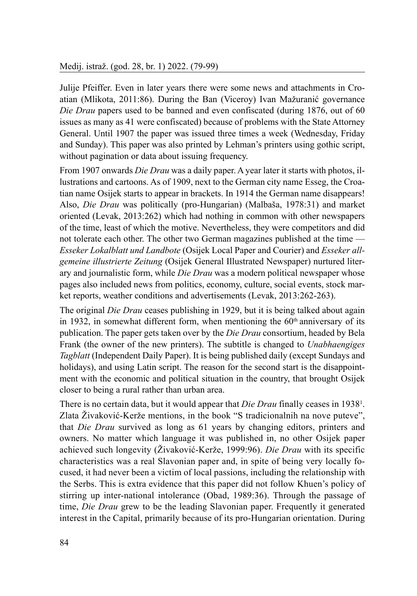Julije Pfeiffer. Even in later years there were some news and attachments in Croatian (Mlikota, 2011:86). During the Ban (Viceroy) Ivan Mažuranić governance *Die Drau* papers used to be banned and even confiscated (during 1876, out of 60 issues as many as 41 were confiscated) because of problems with the State Attorney General. Until 1907 the paper was issued three times a week (Wednesday, Friday and Sunday). This paper was also printed by Lehman's printers using gothic script, without pagination or data about issuing frequency.

From 1907 onwards *Die Drau* was a daily paper. A year later it starts with photos, illustrations and cartoons. As of 1909, next to the German city name Esseg, the Croatian name Osijek starts to appear in brackets. In 1914 the German name disappears! Also, *Die Drau* was politically (pro-Hungarian) (Malbaša, 1978:31) and market oriented (Levak, 2013:262) which had nothing in common with other newspapers of the time, least of which the motive. Nevertheless, they were competitors and did not tolerate each other. The other two German magazines published at the time — *Esseker Lokalblatt und Landbote* (Osijek Local Paper and Courier) and *Esseker allgemeine illustrierte Zeitung* (Osijek General Illustrated Newspaper) nurtured literary and journalistic form, while *Die Drau* was a modern political newspaper whose pages also included news from politics, economy, culture, social events, stock market reports, weather conditions and advertisements (Levak, 2013:262-263).

The original *Die Drau* ceases publishing in 1929, but it is being talked about again in 1932, in somewhat different form, when mentioning the  $60<sup>th</sup>$  anniversary of its publication. The paper gets taken over by the *Die Drau* consortium, headed by Bela Frank (the owner of the new printers). The subtitle is changed to *Unabhaengiges Tagblatt* (Independent Daily Paper). It is being published daily (except Sundays and holidays), and using Latin script. The reason for the second start is the disappointment with the economic and political situation in the country, that brought Osijek closer to being a rural rather than urban area.

There is no certain data, but it would appear that *Die Drau* finally ceases in 1938<sup>1</sup>. Zlata Živaković-Kerže mentions, in the book "S tradicionalnih na nove puteve", that *Die Drau* survived as long as 61 years by changing editors, printers and owners. No matter which language it was published in, no other Osijek paper achieved such longevity (Živaković-Kerže, 1999:96). *Die Drau* with its specific characteristics was a real Slavonian paper and, in spite of being very locally focused, it had never been a victim of local passions, including the relationship with the Serbs. This is extra evidence that this paper did not follow Khuen's policy of stirring up inter-national intolerance (Obad, 1989:36). Through the passage of time, *Die Drau* grew to be the leading Slavonian paper. Frequently it generated interest in the Capital, primarily because of its pro-Hungarian orientation. During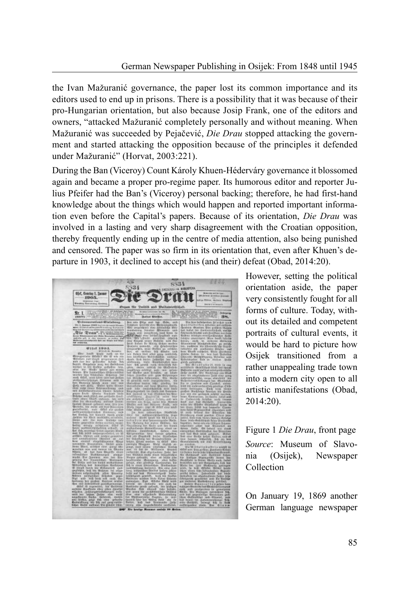the Ivan Mažuranić governance, the paper lost its common importance and its editors used to end up in prisons. There is a possibility that it was because of their pro-Hungarian orientation, but also because Josip Frank, one of the editors and owners, "attacked Mažuranić completely personally and without meaning. When Mažuranić was succeeded by Pejačević, *Die Drau* stopped attacking the government and started attacking the opposition because of the principles it defended under Mažuranić" (Horvat, 2003:221).

During the Ban (Viceroy) Count Károly Khuen-Héderváry governance it blossomed again and became a proper pro-regime paper. Its humorous editor and reporter Julius Pfeifer had the Ban's (Viceroy) personal backing; therefore, he had first-hand knowledge about the things which would happen and reported important information even before the Capital's papers. Because of its orientation, *Die Drau* was involved in a lasting and very sharp disagreement with the Croatian opposition, thereby frequently ending up in the centre of media attention, also being punished and censored. The paper was so firm in its orientation that, even after Khuen's departure in 1903, it declined to accept his (and their) defeat (Obad, 2014:20).



However, setting the political orientation aside, the paper very consistently fought for all forms of culture. Today, without its detailed and competent portraits of cultural events, it would be hard to picture how Osijek transitioned from a rather unappealing trade town into a modern city open to all artistic manifestations (Obad, 2014:20).

Figure 1 *Die Drau*, front page *Source*: Museum of Slavonia (Osijek), Newspaper Collection

On January 19, 1869 another German language newspaper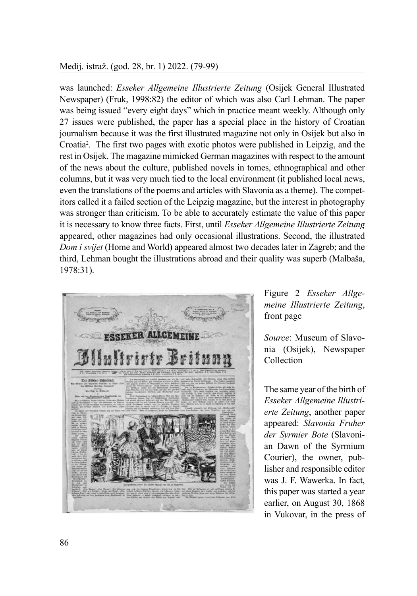#### Medij. istraž. (god. 28, br. 1) 2022. (79-99)

was launched: *Esseker Allgemeine Illustrierte Zeitung* (Osijek General Illustrated Newspaper) (Fruk, 1998:82) the editor of which was also Carl Lehman. The paper was being issued "every eight days" which in practice meant weekly. Although only 27 issues were published, the paper has a special place in the history of Croatian journalism because it was the first illustrated magazine not only in Osijek but also in Croatia2 . The first two pages with exotic photos were published in Leipzig, and the rest in Osijek. The magazine mimicked German magazines with respect to the amount of the news about the culture, published novels in tomes, ethnographical and other columns, but it was very much tied to the local environment (it published local news, even the translations of the poems and articles with Slavonia as a theme). The competitors called it a failed section of the Leipzig magazine, but the interest in photography was stronger than criticism. To be able to accurately estimate the value of this paper it is necessary to know three facts. First, until *Esseker Allgemeine Illustrierte Zeitung* appeared, other magazines had only occasional illustrations. Second, the illustrated *Dom i svijet* (Home and World) appeared almost two decades later in Zagreb; and the third, Lehman bought the illustrations abroad and their quality was superb (Malbaša, 1978:31).



Figure 2 *Esseker Allgemeine Illustrierte Zeitung*, front page

*Source*: Museum of Slavonia (Osijek), Newspaper Collection

The same year of the birth of *Esseker Allgemeine Illustrierte Zeitung*, another paper appeared: *Slavonia Fruher der Syrmier Bote* (Slavonian Dawn of the Syrmium Courier), the owner, publisher and responsible editor was J. F. Wawerka. In fact, this paper was started a year earlier, on August 30, 1868 in Vukovar, in the press of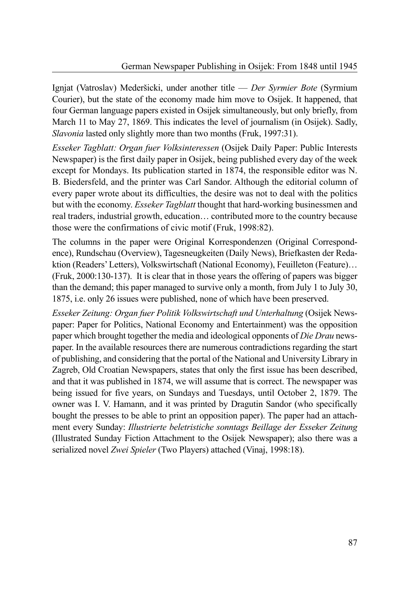Ignjat (Vatroslav) Mederšicki, under another title — *Der Syrmier Bote* (Syrmium Courier), but the state of the economy made him move to Osijek. It happened, that four German language papers existed in Osijek simultaneously, but only briefly, from March 11 to May 27, 1869. This indicates the level of journalism (in Osijek). Sadly, *Slavonia* lasted only slightly more than two months (Fruk, 1997:31).

*Esseker Tagblatt: Organ fuer Volksinteressen* (Osijek Daily Paper: Public Interests Newspaper) is the first daily paper in Osijek, being published every day of the week except for Mondays. Its publication started in 1874, the responsible editor was N. B. Biedersfeld, and the printer was Carl Sandor. Although the editorial column of every paper wrote about its difficulties, the desire was not to deal with the politics but with the economy. *Esseker Tagblatt* thought that hard-working businessmen and real traders, industrial growth, education… contributed more to the country because those were the confirmations of civic motif (Fruk, 1998:82).

The columns in the paper were Original Korrespondenzen (Original Correspondence), Rundschau (Overview), Tagesneugkeiten (Daily News), Briefkasten der Redaktion (Readers' Letters), Volkswirtschaft (National Economy), Feuilleton (Feature)… (Fruk, 2000:130-137). It is clear that in those years the offering of papers was bigger than the demand; this paper managed to survive only a month, from July 1 to July 30, 1875, i.e. only 26 issues were published, none of which have been preserved.

*Esseker Zeitung: Organ fuer Politik Volkswirtschaft und Unterhaltung* (Osijek Newspaper: Paper for Politics, National Economy and Entertainment) was the opposition paper which brought together the media and ideological opponents of *Die Drau* newspaper. In the available resources there are numerous contradictions regarding the start of publishing, and considering that the portal of the National and University Library in Zagreb, Old Croatian Newspapers, states that only the first issue has been described, and that it was published in 1874, we will assume that is correct. The newspaper was being issued for five years, on Sundays and Tuesdays, until October 2, 1879. The owner was I. V. Hamann, and it was printed by Dragutin Sandor (who specifically bought the presses to be able to print an opposition paper). The paper had an attachment every Sunday: *Illustrierte beletristiche sonntags Beillage der Esseker Zeitung*  (Illustrated Sunday Fiction Attachment to the Osijek Newspaper); also there was a serialized novel *Zwei Spieler* (Two Players) attached (Vinaj, 1998:18).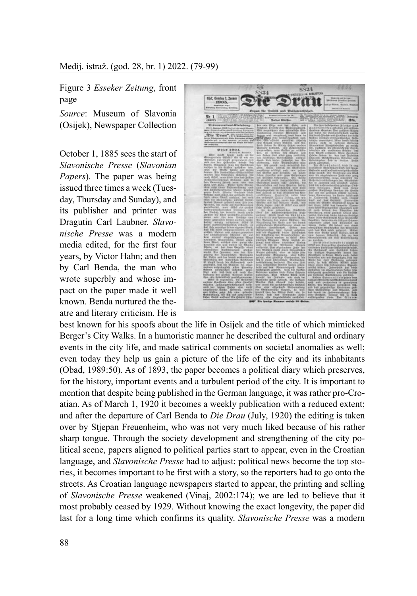Figure 3 *Esseker Zeitung*, front page

*Source*: Museum of Slavonia (Osijek), Newspaper Collection

October 1, 1885 sees the start of *Slavonische Presse* (*Slavonian Papers*)*.* The paper was being issued three times a week (Tuesday, Thursday and Sunday), and its publisher and printer was Dragutin Carl Laubner. *Slavonische Presse* was a modern media edited, for the first four years, by Victor Hahn; and then by Carl Benda, the man who wrote superbly and whose impact on the paper made it well known. Benda nurtured the theatre and literary criticism. He is



best known for his spoofs about the life in Osijek and the title of which mimicked Berger's City Walks. In a humoristic manner he described the cultural and ordinary events in the city life, and made satirical comments on societal anomalies as well; even today they help us gain a picture of the life of the city and its inhabitants (Obad, 1989:50). As of 1893, the paper becomes a political diary which preserves, for the history, important events and a turbulent period of the city. It is important to mention that despite being published in the German language, it was rather pro-Croatian. As of March 1, 1920 it becomes a weekly publication with a reduced extent; and after the departure of Carl Benda to *Die Drau* (July, 1920) the editing is taken over by Stjepan Freuenheim, who was not very much liked because of his rather sharp tongue. Through the society development and strengthening of the city political scene, papers aligned to political parties start to appear, even in the Croatian language, and *Slavonische Presse* had to adjust: political news become the top stories, it becomes important to be first with a story, so the reporters had to go onto the streets. As Croatian language newspapers started to appear, the printing and selling of *Slavonische Presse* weakened (Vinaj, 2002:174); we are led to believe that it most probably ceased by 1929. Without knowing the exact longevity, the paper did last for a long time which confirms its quality. *Slavonische Presse* was a modern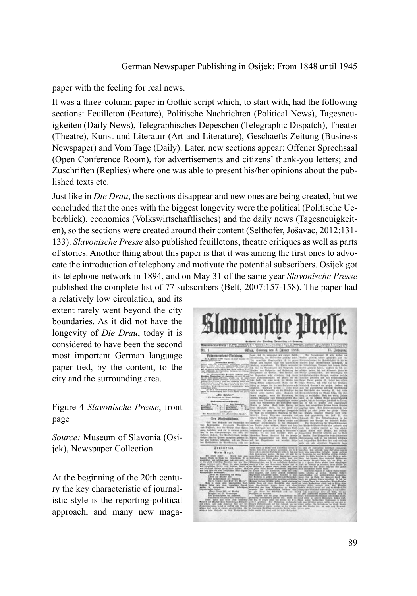paper with the feeling for real news.

It was a three-column paper in Gothic script which, to start with, had the following sections: Feuilleton (Feature), Politische Nachrichten (Political News), Tagesneuigkeiten (Daily News), Telegraphisches Depeschen (Telegraphic Dispatch), Theater (Theatre), Kunst und Literatur (Art and Literature), Geschaefts Zeitung (Business Newspaper) and Vom Tage (Daily). Later, new sections appear: Offener Sprechsaal (Open Conference Room), for advertisements and citizens' thank-you letters; and Zuschriften (Replies) where one was able to present his/her opinions about the published texts etc.

Just like in *Die Drau*, the sections disappear and new ones are being created, but we concluded that the ones with the biggest longevity were the political (Politische Ueberblick), economics (Volkswirtschaftlisches) and the daily news (Tagesneuigkeiten), so the sections were created around their content (Selthofer, Jošavac, 2012:131- 133). *Slavonische Presse* also published feuilletons, theatre critiques as well as parts of stories. Another thing about this paper is that it was among the first ones to advocate the introduction of telephony and motivate the potential subscribers. Osijek got its telephone network in 1894, and on May 31 of the same year *Slavonische Presse* published the complete list of 77 subscribers (Belt, 2007:157-158). The paper had

a relatively low circulation, and its extent rarely went beyond the city boundaries. As it did not have the longevity of *Die Drau*, today it is considered to have been the second most important German language paper tied, by the content, to the city and the surrounding area.

Figure 4 *Slavonische Presse*, front page

*Source:* Museum of Slavonia (Osijek), Newspaper Collection

At the beginning of the 20th century the key characteristic of journalistic style is the reporting-political approach, and many new maga-

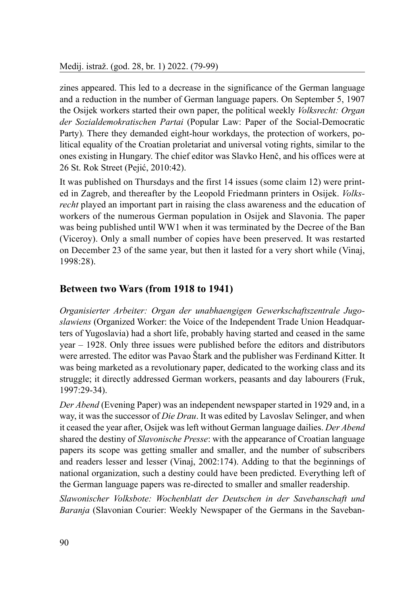Medij. istraž. (god. 28, br. 1) 2022. (79-99)

zines appeared. This led to a decrease in the significance of the German language and a reduction in the number of German language papers. On September 5, 1907 the Osijek workers started their own paper, the political weekly *Volksrecht: Organ der Sozialdemokratischen Partai* (Popular Law: Paper of the Social-Democratic Party)*.* There they demanded eight-hour workdays, the protection of workers, political equality of the Croatian proletariat and universal voting rights, similar to the ones existing in Hungary. The chief editor was Slavko Henč, and his offices were at 26 St. Rok Street (Pejić, 2010:42).

It was published on Thursdays and the first 14 issues (some claim 12) were printed in Zagreb, and thereafter by the Leopold Friedmann printers in Osijek. *Volksrecht* played an important part in raising the class awareness and the education of workers of the numerous German population in Osijek and Slavonia. The paper was being published until WW1 when it was terminated by the Decree of the Ban (Viceroy). Only a small number of copies have been preserved. It was restarted on December 23 of the same year, but then it lasted for a very short while (Vinaj, 1998:28).

# **Between two Wars (from 1918 to 1941)**

*Organisierter Arbeiter: Organ der unabhaengigen Gewerkschaftszentrale Jugoslawiens* (Organized Worker: the Voice of the Independent Trade Union Headquarters of Yugoslavia) had a short life, probably having started and ceased in the same year – 1928. Only three issues were published before the editors and distributors were arrested. The editor was Pavao Štark and the publisher was Ferdinand Kitter. It was being marketed as a revolutionary paper, dedicated to the working class and its struggle; it directly addressed German workers, peasants and day labourers (Fruk, 1997:29-34).

*Der Abend* (Evening Paper) was an independent newspaper started in 1929 and, in a way, it was the successor of *Die Drau*. It was edited by Lavoslav Selinger, and when it ceased the year after, Osijek was left without German language dailies. *Der Abend* shared the destiny of *Slavonische Presse*: with the appearance of Croatian language papers its scope was getting smaller and smaller, and the number of subscribers and readers lesser and lesser (Vinaj, 2002:174). Adding to that the beginnings of national organization, such a destiny could have been predicted. Everything left of the German language papers was re-directed to smaller and smaller readership.

*Slawonischer Volksbote: Wochenblatt der Deutschen in der Savebanschaft und Baranja* (Slavonian Courier: Weekly Newspaper of the Germans in the Saveban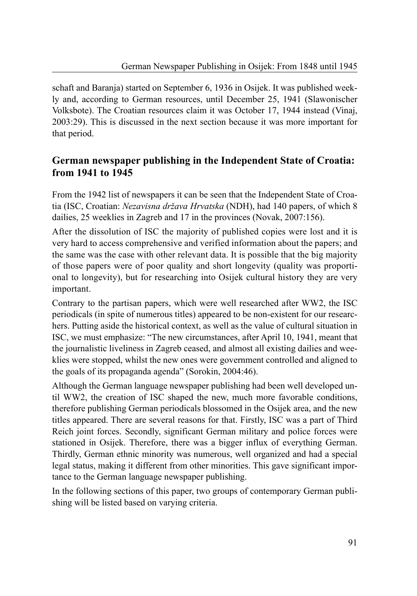schaft and Baranja) started on September 6, 1936 in Osijek. It was published weekly and, according to German resources, until December 25, 1941 (Slawonischer Volksbote). The Croatian resources claim it was October 17, 1944 instead (Vinaj, 2003:29). This is discussed in the next section because it was more important for that period.

# **German newspaper publishing in the Independent State of Croatia: from 1941 to 1945**

From the 1942 list of newspapers it can be seen that the Independent State of Croatia (ISC, Croatian: *Nezavisna država Hrvatska* (NDH), had 140 papers, of which 8 dailies, 25 weeklies in Zagreb and 17 in the provinces (Novak, 2007:156).

After the dissolution of ISC the majority of published copies were lost and it is very hard to access comprehensive and verified information about the papers; and the same was the case with other relevant data. It is possible that the big majority of those papers were of poor quality and short longevity (quality was proportional to longevity), but for researching into Osijek cultural history they are very important.

Contrary to the partisan papers, which were well researched after WW2, the ISC periodicals (in spite of numerous titles) appeared to be non-existent for our researchers. Putting aside the historical context, as well as the value of cultural situation in ISC, we must emphasize: "The new circumstances, after April 10, 1941, meant that the journalistic liveliness in Zagreb ceased, and almost all existing dailies and weeklies were stopped, whilst the new ones were government controlled and aligned to the goals of its propaganda agenda" (Sorokin, 2004:46).

Although the German language newspaper publishing had been well developed until WW2, the creation of ISC shaped the new, much more favorable conditions, therefore publishing German periodicals blossomed in the Osijek area, and the new titles appeared. There are several reasons for that. Firstly, ISC was a part of Third Reich joint forces. Secondly, significant German military and police forces were stationed in Osijek. Therefore, there was a bigger influx of everything German. Thirdly, German ethnic minority was numerous, well organized and had a special legal status, making it different from other minorities. This gave significant importance to the German language newspaper publishing.

In the following sections of this paper, two groups of contemporary German publishing will be listed based on varying criteria.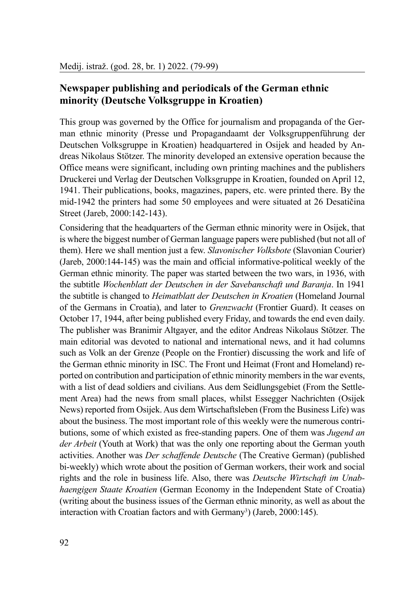# **Newspaper publishing and periodicals of the German ethnic minority (Deutsche Volksgruppe in Kroatien)**

This group was governed by the Office for journalism and propaganda of the German ethnic minority (Presse und Propagandaamt der Volksgruppenführung der Deutschen Volksgruppe in Kroatien) headquartered in Osijek and headed by Andreas Nikolaus Stötzer. The minority developed an extensive operation because the Office means were significant, including own printing machines and the publishers Druckerei und Verlag der Deutschen Volksgruppe in Kroatien, founded on April 12, 1941. Their publications, books, magazines, papers, etc. were printed there. By the mid-1942 the printers had some 50 employees and were situated at 26 Desatičina Street (Jareb, 2000:142-143).

Considering that the headquarters of the German ethnic minority were in Osijek, that is where the biggest number of German language papers were published (but not all of them). Here we shall mention just a few. *Slavonischer Volksbote* (Slavonian Courier) (Jareb, 2000:144-145) was the main and official informative-political weekly of the German ethnic minority. The paper was started between the two wars, in 1936, with the subtitle *Wochenblatt der Deutschen in der Savebanschaft und Baranja*. In 1941 the subtitle is changed to *Heimatblatt der Deutschen in Kroatien* (Homeland Journal of the Germans in Croatia), and later to *Grenzwacht* (Frontier Guard). It ceases on October 17, 1944, after being published every Friday, and towards the end even daily. The publisher was Branimir Altgayer, and the editor Andreas Nikolaus Stötzer. The main editorial was devoted to national and international news, and it had columns such as Volk an der Grenze (People on the Frontier) discussing the work and life of the German ethnic minority in ISC. The Front und Heimat (Front and Homeland) reported on contribution and participation of ethnic minority members in the war events, with a list of dead soldiers and civilians. Aus dem Seidlungsgebiet (From the Settlement Area) had the news from small places, whilst Essegger Nachrichten (Osijek News) reported from Osijek. Aus dem Wirtschaftsleben (From the Business Life) was about the business. The most important role of this weekly were the numerous contributions, some of which existed as free-standing papers. One of them was *Jugend an der Arbeit* (Youth at Work) that was the only one reporting about the German youth activities. Another was *Der schaffende Deutsche* (The Creative German) (published bi-weekly) which wrote about the position of German workers, their work and social rights and the role in business life. Also, there was *Deutsche Wirtschaft im Unabhaengigen Staate Kroatien* (German Economy in the Independent State of Croatia) (writing about the business issues of the German ethnic minority, as well as about the interaction with Croatian factors and with Germany<sup>3</sup>) (Jareb, 2000:145).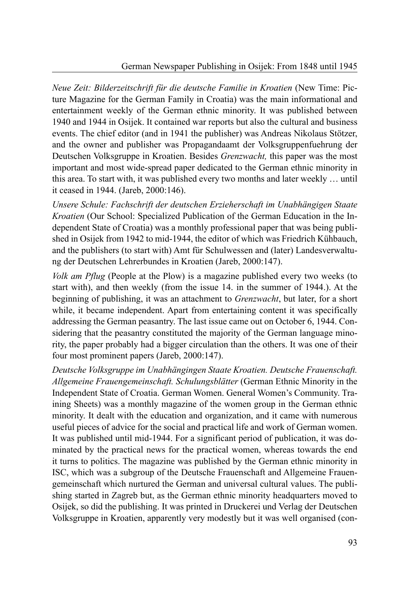*Neue Zeit: Bilderzeitschrift für die deutsche Familie in Kroatien* (New Time: Picture Magazine for the German Family in Croatia) was the main informational and entertainment weekly of the German ethnic minority. It was published between 1940 and 1944 in Osijek. It contained war reports but also the cultural and business events. The chief editor (and in 1941 the publisher) was Andreas Nikolaus Stötzer, and the owner and publisher was Propagandaamt der Volksgruppenfuehrung der Deutschen Volksgruppe in Kroatien. Besides *Grenzwacht,* this paper was the most important and most wide-spread paper dedicated to the German ethnic minority in this area. To start with, it was published every two months and later weekly … until it ceased in 1944. (Jareb, 2000:146).

*Unsere Schule: Fachschrift der deutschen Erzieherschaft im Unabhängigen Staate Kroatien* (Our School: Specialized Publication of the German Education in the Independent State of Croatia) was a monthly professional paper that was being published in Osijek from 1942 to mid-1944, the editor of which was Friedrich Kühbauch, and the publishers (to start with) Amt für Schulwessen and (later) Landesverwaltung der Deutschen Lehrerbundes in Kroatien (Jareb, 2000:147).

*Volk am Pflug* (People at the Plow) is a magazine published every two weeks (to start with), and then weekly (from the issue 14. in the summer of 1944.). At the beginning of publishing, it was an attachment to *Grenzwacht*, but later, for a short while, it became independent. Apart from entertaining content it was specifically addressing the German peasantry. The last issue came out on October 6, 1944. Considering that the peasantry constituted the majority of the German language minority, the paper probably had a bigger circulation than the others. It was one of their four most prominent papers (Jareb, 2000:147).

*Deutsche Volksgruppe im Unabhängingen Staate Kroatien. Deutsche Frauenschaft. Allgemeine Frauengemeinschaft. Schulungsblätter* (German Ethnic Minority in the Independent State of Croatia. German Women. General Women's Community. Training Sheets) was a monthly magazine of the women group in the German ethnic minority. It dealt with the education and organization, and it came with numerous useful pieces of advice for the social and practical life and work of German women. It was published until mid-1944. For a significant period of publication, it was dominated by the practical news for the practical women, whereas towards the end it turns to politics. The magazine was published by the German ethnic minority in ISC, which was a subgroup of the Deutsche Frauenschaft and Allgemeine Frauengemeinschaft which nurtured the German and universal cultural values. The publishing started in Zagreb but, as the German ethnic minority headquarters moved to Osijek, so did the publishing. It was printed in Druckerei und Verlag der Deutschen Volksgruppe in Kroatien, apparently very modestly but it was well organised (con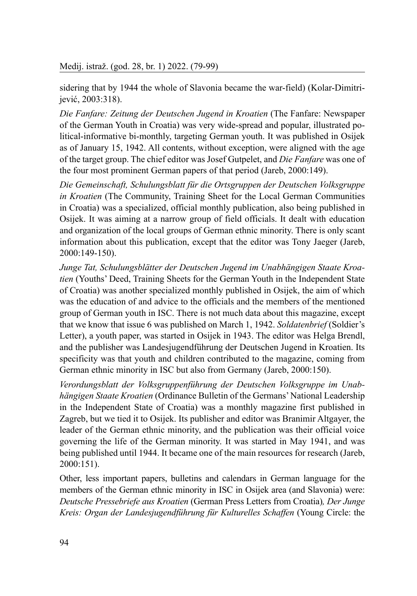sidering that by 1944 the whole of Slavonia became the war-field) (Kolar-Dimitrijević, 2003:318).

*Die Fanfare: Zeitung der Deutschen Jugend in Kroatien* (The Fanfare: Newspaper of the German Youth in Croatia) was very wide-spread and popular, illustrated political-informative bi-monthly, targeting German youth. It was published in Osijek as of January 15, 1942. All contents, without exception, were aligned with the age of the target group. The chief editor was Josef Gutpelet, and *Die Fanfare* was one of the four most prominent German papers of that period (Jareb, 2000:149).

*Die Gemeinschaft, Schulungsblatt für die Ortsgruppen der Deutschen Volksgruppe in Kroatien* (The Community, Training Sheet for the Local German Communities in Croatia) was a specialized, official monthly publication, also being published in Osijek. It was aiming at a narrow group of field officials. It dealt with education and organization of the local groups of German ethnic minority. There is only scant information about this publication, except that the editor was Tony Jaeger (Jareb, 2000:149-150).

*Junge Tat, Schulungsblätter der Deutschen Jugend im Unabhängigen Staate Kroatien* (Youths' Deed, Training Sheets for the German Youth in the Independent State of Croatia) was another specialized monthly published in Osijek, the aim of which was the education of and advice to the officials and the members of the mentioned group of German youth in ISC. There is not much data about this magazine, except that we know that issue 6 was published on March 1, 1942. *Soldatenbrief* (Soldier's Letter), a youth paper, was started in Osijek in 1943. The editor was Helga Brendl, and the publisher was Landesjugendführung der Deutschen Jugend in Kroatien. Its specificity was that youth and children contributed to the magazine, coming from German ethnic minority in ISC but also from Germany (Jareb, 2000:150).

*Verordungsblatt der Volksgruppenführung der Deutschen Volksgruppe im Unabhängigen Staate Kroatien* (Ordinance Bulletin of the Germans' National Leadership in the Independent State of Croatia) was a monthly magazine first published in Zagreb, but we tied it to Osijek. Its publisher and editor was Branimir Altgayer, the leader of the German ethnic minority, and the publication was their official voice governing the life of the German minority. It was started in May 1941, and was being published until 1944. It became one of the main resources for research (Jareb, 2000:151).

Other, less important papers, bulletins and calendars in German language for the members of the German ethnic minority in ISC in Osijek area (and Slavonia) were: *Deutsche Pressebriefe aus Kroatien* (German Press Letters from Croatia)*, Der Junge Kreis: Organ der Landesjugendführung für Kulturelles Schaffen* (Young Circle: the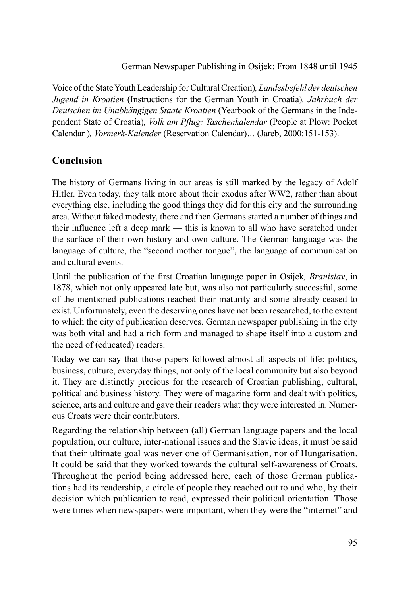Voice of the State Youth Leadership for Cultural Creation)*, Landesbefehl der deutschen Jugend in Kroatien* (Instructions for the German Youth in Croatia)*, Jahrbuch der Deutschen im Unabhängigen Staate Kroatien* (Yearbook of the Germans in the Independent State of Croatia)*, Volk am Pflug: Taschenkalendar* (People at Plow: Pocket Calendar )*, Vormerk-Kalender* (Reservation Calendar)*…* (Jareb, 2000:151-153).

# **Conclusion**

The history of Germans living in our areas is still marked by the legacy of Adolf Hitler. Even today, they talk more about their exodus after WW2, rather than about everything else, including the good things they did for this city and the surrounding area. Without faked modesty, there and then Germans started a number of things and their influence left a deep mark — this is known to all who have scratched under the surface of their own history and own culture. The German language was the language of culture, the "second mother tongue", the language of communication and cultural events.

Until the publication of the first Croatian language paper in Osijek*, Branislav*, in 1878, which not only appeared late but, was also not particularly successful, some of the mentioned publications reached their maturity and some already ceased to exist. Unfortunately, even the deserving ones have not been researched, to the extent to which the city of publication deserves. German newspaper publishing in the city was both vital and had a rich form and managed to shape itself into a custom and the need of (educated) readers.

Today we can say that those papers followed almost all aspects of life: politics, business, culture, everyday things, not only of the local community but also beyond it. They are distinctly precious for the research of Croatian publishing, cultural, political and business history. They were of magazine form and dealt with politics, science, arts and culture and gave their readers what they were interested in. Numerous Croats were their contributors.

Regarding the relationship between (all) German language papers and the local population, our culture, inter-national issues and the Slavic ideas, it must be said that their ultimate goal was never one of Germanisation, nor of Hungarisation. It could be said that they worked towards the cultural self-awareness of Croats. Throughout the period being addressed here, each of those German publications had its readership, a circle of people they reached out to and who, by their decision which publication to read, expressed their political orientation. Those were times when newspapers were important, when they were the "internet" and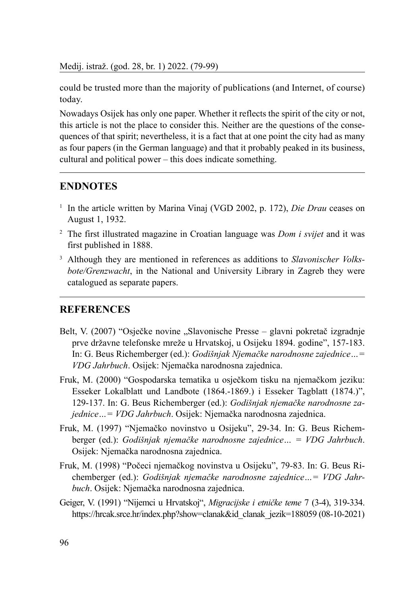Medij. istraž. (god. 28, br. 1) 2022. (79-99)

could be trusted more than the majority of publications (and Internet, of course) today.

Nowadays Osijek has only one paper. Whether it reflects the spirit of the city or not, this article is not the place to consider this. Neither are the questions of the consequences of that spirit; nevertheless, it is a fact that at one point the city had as many as four papers (in the German language) and that it probably peaked in its business, cultural and political power – this does indicate something.

### **ENDNOTES**

- <sup>1</sup> In the article written by Marina Vinaj (VGD 2002, p. 172), *Die Drau* ceases on August 1, 1932.
- <sup>2</sup> The first illustrated magazine in Croatian language was *Dom i svijet* and it was first published in 1888.
- 3 Although they are mentioned in references as additions to *Slavonischer Volksbote/Grenzwacht*, in the National and University Library in Zagreb they were catalogued as separate papers.

#### **REFERENCES**

- Belt, V. (2007) "Osječke novine "Slavonische Presse glavni pokretač izgradnje prve državne telefonske mreže u Hrvatskoj, u Osijeku 1894. godine", 157-183. In: G. Beus Richemberger (ed.): *Godišnjak Njemačke narodnosne zajednice…= VDG Jahrbuch*. Osijek: Njemačka narodnosna zajednica.
- Fruk, M. (2000) "Gospodarska tematika u osječkom tisku na njemačkom jeziku: Esseker Lokalblatt und Landbote (1864.-1869.) i Esseker Tagblatt (1874.)", 129-137. In: G. Beus Richemberger (ed.): *Godišnjak njemačke narodnosne zajednice…= VDG Jahrbuch*. Osijek: Njemačka narodnosna zajednica.
- Fruk, M. (1997) "Njemačko novinstvo u Osijeku", 29-34. In: G. Beus Richemberger (ed.): *Godišnjak njemačke narodnosne zajednice… = VDG Jahrbuch*. Osijek: Njemačka narodnosna zajednica.
- Fruk, M. (1998) "Počeci njemačkog novinstva u Osijeku", 79-83. In: G. Beus Richemberger (ed.): *Godišnjak njemačke narodnosne zajednice…= VDG Jahrbuch*. Osijek: Njemačka narodnosna zajednica.
- Geiger, V. (1991) "Nijemci u Hrvatskoj", *Migracijske i etničke teme* 7 (3-4), 319-334. https://hrcak.srce.hr/index.php?show=clanak&id\_clanak\_jezik=188059 (08-10-2021)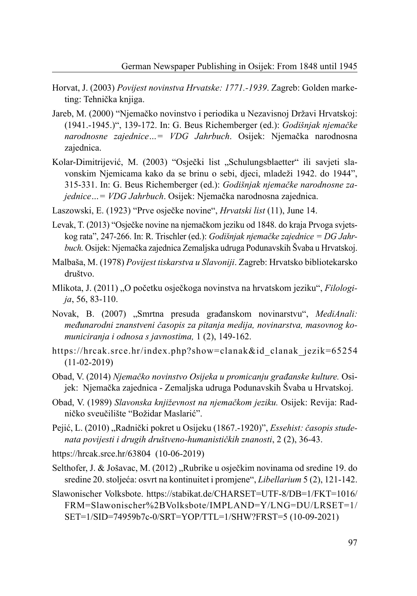- Horvat, J. (2003) *Povijest novinstva Hrvatske: 1771.-1939*. Zagreb: Golden marketing: Tehnička knjiga.
- Jareb, M. (2000) "Njemačko novinstvo i periodika u Nezavisnoj Državi Hrvatskoj: (1941.-1945.)", 139-172. In: G. Beus Richemberger (ed.): *Godišnjak njemačke narodnosne zajednice…= VDG Jahrbuch*. Osijek: Njemačka narodnosna zajednica.
- Kolar-Dimitrijević, M. (2003) "Osječki list "Schulungsblaetter" ili savjeti slavonskim Njemicama kako da se brinu o sebi, djeci, mladeži 1942. do 1944", 315-331. In: G. Beus Richemberger (ed.): *Godišnjak njemačke narodnosne zajednice…= VDG Jahrbuch*. Osijek: Njemačka narodnosna zajednica.
- Laszowski, E. (1923) "Prve osječke novine", *Hrvatski list* (11), June 14.
- Levak, T. (2013) "Osječke novine na njemačkom jeziku od 1848. do kraja Prvoga svjetskog rata", 247-266. In: R. Trischler (ed.): *Godišnjak njemačke zajednice = DG Jahrbuch.* Osijek: Njemačka zajednica Zemaljska udruga Podunavskih Švaba u Hrvatskoj.
- Malbaša, M. (1978) *Povijest tiskarstva u Slavoniji*. Zagreb: Hrvatsko bibliotekarsko društvo.
- Mlikota, J. (2011) "O početku osječkoga novinstva na hrvatskom jeziku", *Filologija*, 56, 83-110.
- Novak, B. (2007) "Smrtna presuda građanskom novinarstvu", *MediAnali: međunarodni znanstveni časopis za pitanja medija, novinarstva, masovnog komuniciranja i odnosa s javnostima,* 1 (2), 149-162.
- https://hrcak.srce.hr/index.php?show=clanak&id\_clanak\_jezik=65254 (11-02-2019)
- Obad, V. (2014) *Njemačko novinstvo Osijeka u promicanju građanske kulture.* Osijek: Njemačka zajednica - Zemaljska udruga Podunavskih Švaba u Hrvatskoj.
- Obad, V. (1989) *Slavonska književnost na njemačkom jeziku.* Osijek: Revija: Radničko sveučilište "Božidar Maslarić".
- Pejić, L. (2010) "Radnički pokret u Osijeku (1867.-1920)", *Essehist: časopis studenata povijesti i drugih društveno-humanističkih znanosti*, 2 (2), 36-43.
- https://hrcak.srce.hr/63804 (10-06-2019)
- Selthofer, J. & Jošavac, M. (2012), Rubrike u osječkim novinama od sredine 19. do sredine 20. stoljeća: osvrt na kontinuitet i promjene", *Libellarium* 5 (2), 121-142.
- Slawonischer Volksbote. https://stabikat.de/CHARSET=UTF-8/DB=1/FKT=1016/ FRM=Slawonischer%2BVolksbote/IMPLAND=Y/LNG=DU/LRSET=1/ SET=1/SID=74959b7c-0/SRT=YOP/TTL=1/SHW?FRST=5 (10-09-2021)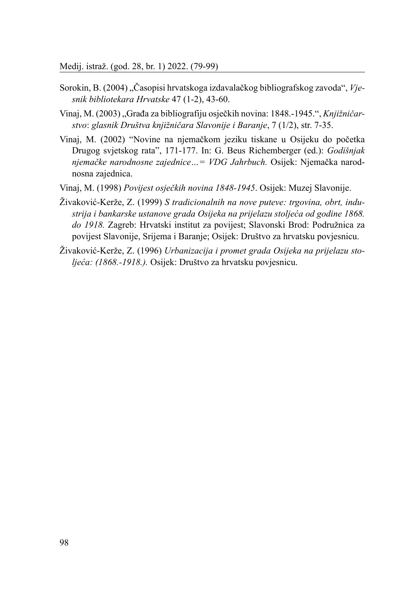- Sorokin, B. (2004) "Časopisi hrvatskoga izdavalačkog bibliografskog zavoda", *Vjesnik bibliotekara Hrvatske* 47 (1-2), 43-60.
- Vinaj, M. (2003), Građa za bibliografiju osječkih novina: 1848.-1945.", Knjižničar*stvo*: *glasnik Društva knjižničara Slavonije i Baranje*, 7 (1/2), str. 7-35.
- Vinaj, M. (2002) "Novine na njemačkom jeziku tiskane u Osijeku do početka Drugog svjetskog rata", 171-177. In: G. Beus Richemberger (ed.): *Godišnjak njemačke narodnosne zajednice…= VDG Jahrbuch.* Osijek: Njemačka narodnosna zajednica.
- Vinaj, M. (1998) *Povijest osječkih novina 1848-1945*. Osijek: Muzej Slavonije.
- Živaković-Kerže, Z. (1999) *S tradicionalnih na nove puteve: trgovina, obrt, industrija i bankarske ustanove grada Osijeka na prijelazu stoljeća od godine 1868. do 1918.* Zagreb: Hrvatski institut za povijest; Slavonski Brod: Podružnica za povijest Slavonije, Srijema i Baranje; Osijek: Društvo za hrvatsku povjesnicu.
- Živaković-Kerže, Z. (1996) *Urbanizacija i promet grada Osijeka na prijelazu stoljeća: (1868.-1918.).* Osijek: Društvo za hrvatsku povjesnicu.